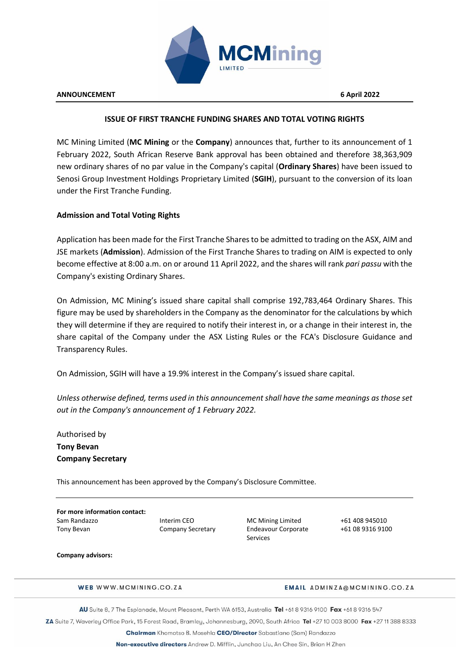

## **ISSUE OF FIRST TRANCHE FUNDING SHARES AND TOTAL VOTING RIGHTS**

MC Mining Limited (**MC Mining** or the **Company**) announces that, further to its announcement of 1 February 2022, South African Reserve Bank approval has been obtained and therefore 38,363,909 new ordinary shares of no par value in the Company's capital (**Ordinary Shares**) have been issued to Senosi Group Investment Holdings Proprietary Limited (**SGIH**), pursuant to the conversion of its loan under the First Tranche Funding.

# **Admission and Total Voting Rights**

Application has been made for the First Tranche Shares to be admitted to trading on the ASX, AIM and JSE markets (**Admission**). Admission of the First Tranche Shares to trading on AIM is expected to only become effective at 8:00 a.m. on or around 11 April 2022, and the shares will rank *pari passu* with the Company's existing Ordinary Shares.

On Admission, MC Mining's issued share capital shall comprise 192,783,464 Ordinary Shares. This figure may be used by shareholders in the Company as the denominator for the calculations by which they will determine if they are required to notify their interest in, or a change in their interest in, the share capital of the Company under the ASX Listing Rules or the FCA's Disclosure Guidance and Transparency Rules.

On Admission, SGIH will have a 19.9% interest in the Company's issued share capital.

*Unless otherwise defined, terms used in this announcement shall have the same meanings as those set out in the Company's announcement of 1 February 2022.*

Authorised by **Tony Bevan Company Secretary**

This announcement has been approved by the Company's Disclosure Committee.

**For more information contact:** Sam Randazzo **Interim CEO** MC Mining Limited +61 408 945010 Tony Bevan Company Secretary Endeavour Corporate

Services

+61 08 9316 9100

#### **Company advisors:**

WEB WWW.MCMINING.CO.ZA

### **EMAIL ADMINZA@MCMINING.CO.ZA**

AU Suite 8, 7 The Esplanade, Mount Pleasant, Perth WA 6153, Australia Tel +61 8 9316 9100 Fax +61 8 9316 547

ZA Suite 7, Waverley Office Park, 15 Forest Road, Bramley, Johannesburg, 2090, South Africa Tel +27 10 003 8000 Fax +27 11 388 8333

Chairman Khomotso B. Mosehla CEO/Director Sabastiano (Sam) Randazzo

Non-executive directors Andrew D. Mifflin, Junchao Liu, An Chee Sin, Brian H Zhen